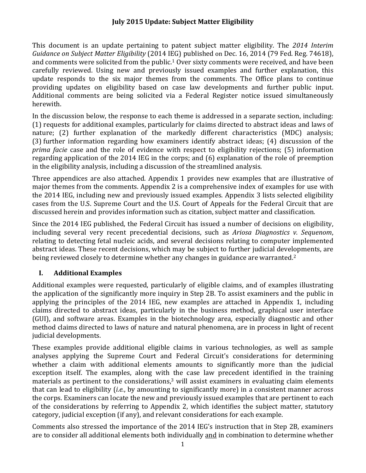This document is an update pertaining to patent subject matter eligibility. The 2014 Interim  *Guidance on Subject Matter Eligibility* (2014 IEG) published on Dec. 16, 2014 (79 Fed. Reg. 74618), and comments were solicited from the public.<sup>1</sup> Over sixty comments were received, and have been providing updates on eligibility based on case law developments and further public input. carefully reviewed. Using new and previously issued examples and further explanation, this update responds to the six major themes from the comments. The Office plans to continue Additional comments are being solicited via a Federal Register notice issued simultaneously herewith. 

 (1) requests for additional examples, particularly for claims directed to abstract ideas and laws of nature; (2) further explanation of the markedly different characteristics (MDC) analysis; In the discussion below, the response to each theme is addressed in a separate section, including: (3) further information regarding how examiners identify abstract ideas; (4) discussion of the *prima facie* case and the role of evidence with respect to eligibility rejections; (5) information regarding application of the 2014 IEG in the corps; and  $(6)$  explanation of the role of preemption in the eligibility analysis, including a discussion of the streamlined analysis.

major themes from the comments. Appendix 2 is a comprehensive index of examples for use with cases from the U.S. Supreme Court and the U.S. Court of Appeals for the Federal Circuit that are Three appendices are also attached. Appendix 1 provides new examples that are illustrative of the 2014 IEG, including new and previously issued examples. Appendix 3 lists selected eligibility discussed herein and provides information such as citation, subject matter and classification.

being reviewed closely to determine whether any changes in guidance are warranted.<sup>2</sup> Since the 2014 IEG published, the Federal Circuit has issued a number of decisions on eligibility, including several very recent precedential decisions, such as *Ariosa Diagnostics v. Sequenom*, relating to detecting fetal nucleic acids, and several decisions relating to computer implemented abstract ideas. These recent decisions, which may be subject to further judicial developments, are

# **I. Additional Examples**

the application of the significantly more inquiry in Step 2B. To assist examiners and the public in applying the principles of the 2014 IEG, new examples are attached in Appendix 1, including claims directed to abstract ideas, particularly in the business method, graphical user interface method claims directed to laws of nature and natural phenomena, are in process in light of recent Additional examples were requested, particularly of eligible claims, and of examples illustrating (GUI), and software areas. Examples in the biotechnology area, especially diagnostic and other judicial developments.

These examples provide additional eligible claims in various technologies, as well as sample analyses applying the Supreme Court and Federal Circuit's considerations for determining whether a claim with additional elements amounts to significantly more than the judicial exception itself. The examples, along with the case law precedent identified in the training materials as pertinent to the considerations, $3$  will assist examiners in evaluating claim elements that can lead to eligibility (*i.e.*, by amounting to significantly more) in a consistent manner across the corps. Examiners can locate the new and previously issued examples that are pertinent to each of the considerations by referring to Appendix 2, which identifies the subject matter, statutory category, judicial exception (if any), and relevant considerations for each example.

are to consider all additional elements both individually and in combination to determine whether Comments also stressed the importance of the 2014 IEG's instruction that in Step 2B, examiners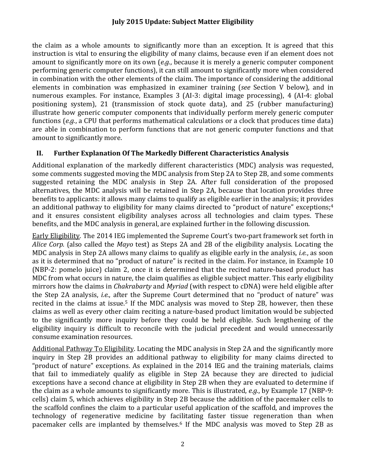the claim as a whole amounts to significantly more than an exception. It is agreed that this instruction is vital to ensuring the eligibility of many claims, because even if an element does not performing generic computer functions), it can still amount to significantly more when considered numerous examples. For instance, Examples 3 (AI-3: digital image processing), 4 (AI-4: global are able in combination to perform functions that are not generic computer functions and that amount to significantly more on its own (*e.g.*, because it is merely a generic computer component in combination with the other elements of the claim. The importance of considering the additional elements in combination was emphasized in examiner training (*see* Section V below), and in positioning system), 21 (transmission of stock quote data), and 25 (rubber manufacturing) illustrate how generic computer components that individually perform merely generic computer functions (*e.g.*, a CPU that performs mathematical calculations or a clock that produces time data) amount to significantly more.

## **II. Further Explanation Of The Markedly Different Characteristics Analysis**

alternatives, the MDC analysis will be retained in Step 2A, because that location provides three Additional explanation of the markedly different characteristics (MDC) analysis was requested, some comments suggested moving the MDC analysis from Step 2A to Step 2B, and some comments suggested retaining the MDC analysis in Step 2A. After full consideration of the proposed benefits to applicants: it allows many claims to qualify as eligible earlier in the analysis; it provides an additional pathway to eligibility for many claims directed to "product of nature" exceptions:<sup>4</sup> and it ensures consistent eligibility analyses across all technologies and claim types. These benefits, and the MDC analysis in general, are explained further in the following discussion.

Alice *Corp.* (also called the *Mayo* test) as Steps 2A and 2B of the eligibility analysis. Locating the (NBP-2: pomelo juice) claim 2, once it is determined that the recited nature-based product has MDC from what occurs in nature, the claim qualifies as eligible subject matter. This early eligibility mirrors how the claims in *Chakrabarty* and *Myriad* (with respect to cDNA) were held eligible after recited in the claims at issue.<sup>5</sup> If the MDC analysis was moved to Step 2B, however, then these Early Eligibility. The 2014 IEG implemented the Supreme Court's two-part framework set forth in MDC analysis in Step 2A allows many claims to qualify as eligible early in the analysis, *i.e.*, as soon as it is determined that no "product of nature" is recited in the claim. For instance, in Example 10 the Step 2A analysis, *i.e.*, after the Supreme Court determined that no "product of nature" was claims as well as every other claim reciting a nature-based product limitation would be subjected to the significantly more inquiry before they could be held eligible. Such lengthening of the eligibility inquiry is difficult to reconcile with the judicial precedent and would unnecessarily consume examination resources.

Additional Pathway To Eligibility. Locating the MDC analysis in Step 2A and the significantly more "product of nature" exceptions. As explained in the 2014 IEG and the training materials, claims that fail to immediately qualify as eligible in Step 2A because they are directed to judicial the claim as a whole amounts to significantly more. This is illustrated, *e.g.*, by Example 17 (NBP-9: cells) claim 5, which achieves eligibility in Step 2B because the addition of the pacemaker cells to the scaffold confines the claim to a particular useful application of the scaffold, and improves the technology of regenerative medicine by facilitating faster tissue regeneration than when pacemaker cells are implanted by themselves.<sup>6</sup> If the MDC analysis was moved to Step 2B as inquiry in Step 2B provides an additional pathway to eligibility for many claims directed to exceptions have a second chance at eligibility in Step 2B when they are evaluated to determine if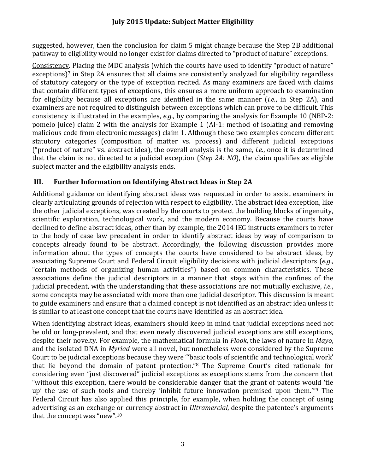suggested, however, then the conclusion for claim 5 might change because the Step 2B additional pathway to eligibility would no longer exist for claims directed to "product of nature" exceptions.

exceptions)<sup>7</sup> in Step 2A ensures that all claims are consistently analyzed for eligibility regardless of statutory category or the type of exception recited. As many examiners are faced with claims for eligibility because all exceptions are identified in the same manner (*i.e.*, in Step 2A), and consistency is illustrated in the examples, *e.g.*, by comparing the analysis for Example 10 (NBP-2: malicious code from electronic messages) claim 1. Although these two examples concern different that the claim is not directed to a judicial exception (*Step 2A: NO*), the claim qualifies as eligible Consistency. Placing the MDC analysis (which the courts have used to identify "product of nature" that contain different types of exceptions, this ensures a more uniform approach to examination examiners are not required to distinguish between exceptions which can prove to be difficult. This pomelo juice) claim 2 with the analysis for Example 1 (AI-1: method of isolating and removing statutory categories (composition of matter vs. process) and different judicial exceptions ("product of nature" vs. abstract idea), the overall analysis is the same, *i.e.*, once it is determined subject matter and the eligibility analysis ends.

# **III. Further Information on Identifying Abstract Ideas in Step 2A**

Additional guidance on identifying abstract ideas was requested in order to assist examiners in the other judicial exceptions, was created by the courts to protect the building blocks of ingenuity, scientific exploration, technological work, and the modern economy. Because the courts have to the body of case law precedent in order to identify abstract ideas by way of comparison to concepts already found to be abstract. Accordingly, the following discussion provides more judicial precedent, with the understanding that these associations are not mutually exclusive, *i.e.*, to guide examiners and ensure that a claimed concept is not identified as an abstract idea unless it clearly articulating grounds of rejection with respect to eligibility. The abstract idea exception, like declined to define abstract ideas, other than by example, the 2014 IEG instructs examiners to refer information about the types of concepts the courts have considered to be abstract ideas, by associating Supreme Court and Federal Circuit eligibility decisions with judicial descriptors (*e.g.*, "certain methods of organizing human activities") based on common characteristics. These associations define the judicial descriptors in a manner that stays within the confines of the some concepts may be associated with more than one judicial descriptor. This discussion is meant is similar to at least one concept that the courts have identified as an abstract idea.

and the isolated DNA in *Myriad* were all novel, but nonetheless were considered by the Supreme that lie beyond the domain of patent protection."<sup>8</sup> The Supreme Court's cited rationale for up' the use of such tools and thereby 'inhibit future innovation premised upon them."<sup>9</sup> The When identifying abstract ideas, examiners should keep in mind that judicial exceptions need not be old or long-prevalent, and that even newly discovered judicial exceptions are still exceptions, despite their novelty. For example, the mathematical formula in *Flook*, the laws of nature in *Mayo*, Court to be judicial exceptions because they were "'basic tools of scientific and technological work' considering even "just discovered" judicial exceptions as exceptions stems from the concern that "without this exception, there would be considerable danger that the grant of patents would 'tie Federal Circuit has also applied this principle, for example, when holding the concept of using advertising as an exchange or currency abstract in *Ultramercial*, despite the patentee's arguments that the concept was "new". $10$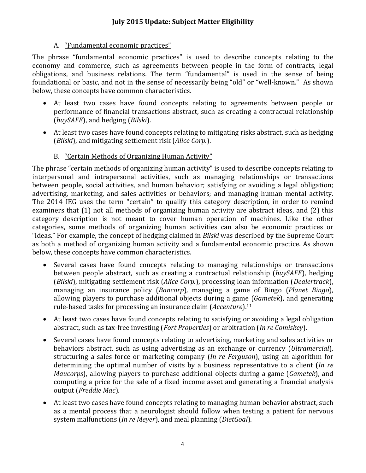#### A. "Fundamental economic practices"

The phrase "fundamental economic practices" is used to describe concepts relating to the obligations, and business relations. The term "fundamental" is used in the sense of being foundational or basic, and not in the sense of necessarily being "old" or "well-known." As shown economy and commerce, such as agreements between people in the form of contracts, legal below, these concepts have common characteristics.

- At least two cases have found concepts relating to agreements between people or performance of financial transactions abstract, such as creating a contractual relationship (*buySAFE*), and hedging (*Bilski*).
- At least two cases have found concepts relating to mitigating risks abstract, such as hedging (*Bilski*), and mitigating settlement risk (*Alice Corp.*).
	- B. "Certain Methods of Organizing Human Activity"

advertising, marketing, and sales activities or behaviors; and managing human mental activity. examiners that (1) not all methods of organizing human activity are abstract ideas, and (2) this category description is not meant to cover human operation of machines. Like the other The phrase "certain methods of organizing human activity" is used to describe concepts relating to interpersonal and intrapersonal activities, such as managing relationships or transactions between people, social activities, and human behavior; satisfying or avoiding a legal obligation; The 2014 IEG uses the term "certain" to qualify this category description, in order to remind categories, some methods of organizing human activities can also be economic practices or "ideas." For example, the concept of hedging claimed in *Bilski* was described by the Supreme Court as both a method of organizing human activity and a fundamental economic practice. As shown below, these concepts have common characteristics.

- Several cases have found concepts relating to managing relationships or transactions allowing players to purchase additional objects during a game (*Gametek*), and generating between people abstract, such as creating a contractual relationship (*buySAFE*), hedging (*Bilski*), mitigating settlement risk (*Alice Corp.*), processing loan information (*Dealertrack*), managing an insurance policy (*Bancorp*), managing a game of Bingo (*Planet Bingo*), rule-based tasks for processing an insurance claim (*Accenture*).<sup>11</sup>
- abstract, such as tax‐free investing (*Fort Properties*) or arbitration (*In re Comiskey*). • At least two cases have found concepts relating to satisfying or avoiding a legal obligation
- Several cases have found concepts relating to advertising, marketing and sales activities or structuring a sales force or marketing company (*In re Ferguson*), using an algorithm for determining the optimal number of visits by a business representative to a client (*In re Maucorps*), allowing players to purchase additional objects during a game (*Gametek*), and behaviors abstract, such as using advertising as an exchange or currency (*Ultramercial*), computing a price for the sale of a fixed income asset and generating a financial analysis output (*Freddie Mac*).
- as a mental process that a neurologist should follow when testing a patient for nervous  system malfunctions (*In re Meyer*), and meal planning (*DietGoal*). • At least two cases have found concepts relating to managing human behavior abstract, such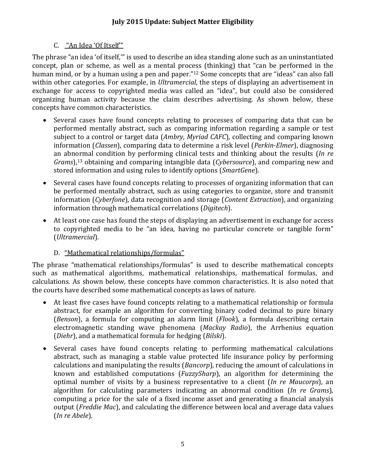#### C. "An Idea 'Of Itself'"

concept, plan or scheme, as well as a mental process (thinking) that "can be performed in the within other categories. For example, in *Ultramercial*, the steps of displaying an advertisement in The phrase "an idea 'of itself," is used to describe an idea standing alone such as an uninstantiated human mind, or by a human using a pen and paper."<sup>12</sup> Some concepts that are "ideas" can also fall exchange for access to copyrighted media was called an "idea", but could also be considered organizing human activity because the claim describes advertising. As shown below, these concepts have common characteristics.

- performed mentally abstract, such as comparing information regarding a sample or test information (*Classen*), comparing data to determine a risk level (*Perkin-Elmer*), diagnosing an abnormal condition by performing clinical tests and thinking about the results (*In re* Several cases have found concepts relating to processes of comparing data that can be subject to a control or target data (*Ambry*, *Myriad CAFC*), collecting and comparing known *Grams*),<sup>13</sup> obtaining and comparing intangible data (*Cybersource*), and comparing new and stored information and using rules to identify options (*SmartGene*).
- information through mathematical correlations (*Digitech*). Several cases have found concepts relating to processes of organizing information that can be performed mentally abstract, such as using categories to organize, store and transmit information (*Cyberfone*), data recognition and storage (*Content Extraction*), and organizing
- At least one case has found the steps of displaying an advertisement in exchange for access to copyrighted media to be "an idea, having no particular concrete or tangible form" (*Ultramercial*).

### D. "Mathematical relationships/formulas"

The phrase "mathematical relationships/formulas" is used to describe mathematical concepts such as mathematical algorithms, mathematical relationships, mathematical formulas, and calculations. As shown below, these concepts have common characteristics. It is also noted that the courts have described some mathematical concepts as laws of nature.

- At least five cases have found concepts relating to a mathematical relationship or formula abstract, for example an algorithm for converting binary coded decimal to pure binary (*Benson*), a formula for computing an alarm limit (*Flook*), a formula describing certain electromagnetic standing wave phenomena (*Mackay Radio*), the Arrhenius equation (*Diehr*), and a mathematical formula for hedging (*Bilski*).
- Several cases have found concepts relating to performing mathematical calculations  optimal number of visits by a business representative to a client (*In re Maucorps*), an  algorithm for calculating parameters indicating an abnormal condition (*In re Grams*),  (*In re Abele*). abstract, such as managing a stable value protected life insurance policy by performing calculations and manipulating the results (*Bancorp*), reducing the amount of calculations in known and established computations (*FuzzySharp*), an algorithm for determining the computing a price for the sale of a fixed income asset and generating a financial analysis output (*Freddie Mac*), and calculating the difference between local and average data values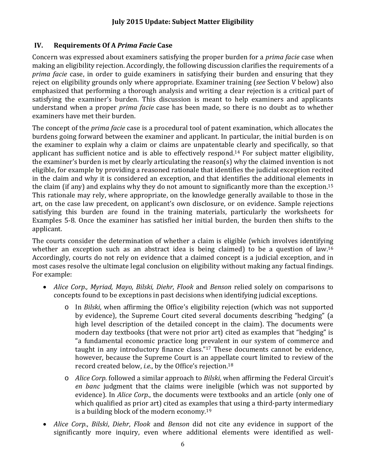### **IV. Requirements Of A** *Prima Facie* **Case**

Concern was expressed about examiners satisfying the proper burden for a *prima facie* case when *prima facie* case, in order to guide examiners in satisfying their burden and ensuring that they reject on eligibility grounds only where appropriate. Examiner training (see Section V below) also emphasized that performing a thorough analysis and writing a clear rejection is a critical part of satisfying the examiner's burden. This discussion is meant to help examiners and applicants making an eligibility rejection. Accordingly, the following discussion clarifies the requirements of a understand when a proper *prima facie* case has been made, so there is no doubt as to whether examiners have met their burden.

The concept of the *prima facie* case is a procedural tool of patent examination, which allocates the in the claim and why it is considered an exception, and that identifies the additional elements in Examples 5-8. Once the examiner has satisfied her initial burden, the burden then shifts to the burdens going forward between the examiner and applicant. In particular, the initial burden is on the examiner to explain why a claim or claims are unpatentable clearly and specifically, so that applicant has sufficient notice and is able to effectively respond.<sup>14</sup> For subject matter eligibility, the examiner's burden is met by clearly articulating the reason(s) why the claimed invention is not eligible, for example by providing a reasoned rationale that identifies the judicial exception recited the claim (if any) and explains why they do not amount to significantly more than the exception.<sup>15</sup> This rationale may rely, where appropriate, on the knowledge generally available to those in the art, on the case law precedent, on applicant's own disclosure, or on evidence. Sample rejections satisfying this burden are found in the training materials, particularly the worksheets for applicant. 

whether an exception such as an abstract idea is being claimed) to be a question of law.<sup>16</sup> Accordingly, courts do not rely on evidence that a claimed concept is a judicial exception, and in most cases resolve the ultimate legal conclusion on eligibility without making any factual findings. The courts consider the determination of whether a claim is eligible (which involves identifying For example:

- *Alice Corp., Myriad, Mayo, Bilski, Diehr*, *Flook* and *Benson* relied solely on comparisons to concepts found to be exceptions in past decisions when identifying judicial exceptions.
	- o In *Bilski*, when affirming the Office's eligibility rejection (which was not supported by evidence), the Supreme Court cited several documents describing "hedging" (a modern day textbooks (that were not prior art) cited as examples that "hedging" is "a fundamental economic practice long prevalent in our system of commerce and high level description of the detailed concept in the claim). The documents were taught in any introductory finance class." $17$  These documents cannot be evidence, however, because the Supreme Court is an appellate court limited to review of the record created below, *i.e.*, by the Office's rejection.<sup>18</sup>
	- evidence). In *Alice Corp.*, the documents were textbooks and an article (only one of o *Alice Corp.* followed a similar approach to *Bilski*, when affirming the Federal Circuit's *en banc* judgment that the claims were ineligible (which was not supported by which qualified as prior art) cited as examples that using a third-party intermediary is a building block of the modern economy.<sup>19</sup>
- Alice Corp., Bilski, Diehr, Flook and Benson did not cite any evidence in support of the significantly more inquiry, even where additional elements were identified as well-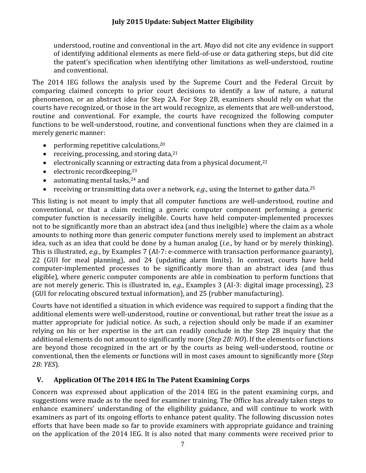understood, routine and conventional in the art. *Mayo* did not cite any evidence in support of identifving additional elements as mere field-of-use or data gathering steps, but did cite the patent's specification when identifying other limitations as well-understood, routine and conventional.

comparing claimed concepts to prior court decisions to identify a law of nature, a natural phenomenon, or an abstract idea for Step 2A. For Step 2B, examiners should rely on what the The 2014 IEG follows the analysis used by the Supreme Court and the Federal Circuit by courts have recognized, or those in the art would recognize, as elements that are well-understood, routine and conventional. For example, the courts have recognized the following computer functions to be well-understood, routine, and conventional functions when they are claimed in a merely generic manner:

- performing repetitive calculations, $20$
- receiving, processing, and storing data, $21$
- electronically scanning or extracting data from a physical document, $22$
- electronic recordkeeping, $23$
- $\bullet$  automating mental tasks,  $24$  and
- receiving or transmitting data over a network, *e.g.*, using the Internet to gather data.<sup>25</sup>

conventional, or that a claim reciting a generic computer component performing a generic computer function is necessarily ineligible. Courts have held computer-implemented processes not to be significantly more than an abstract idea (and thus ineligible) where the claim as a whole amounts to nothing more than generic computer functions merely used to implement an abstract idea, such as an idea that could be done by a human analog (*i.e.*, by hand or by merely thinking). eligible), where generic computer components are able in combination to perform functions that This listing is not meant to imply that all computer functions are well-understood, routine and This is illustrated, *e.g.*, by Examples 7 (AI-7: e-commerce with transaction performance guaranty), 22 (GUI for meal planning), and 24 (updating alarm limits). In contrast, courts have held computer-implemented processes to be significantly more than an abstract idea (and thus are not merely generic. This is illustrated in, *e.g.*, Examples 3 (AI-3: digital image processing), 23 (GUI for relocating obscured textual information), and 25 (rubber manufacturing).

Courts have not identified a situation in which evidence was required to support a finding that the matter appropriate for judicial notice. As such, a rejection should only be made if an examiner additional elements do not amount to significantly more (*Step 2B: NO*). If the elements or functions additional elements were well-understood, routine or conventional, but rather treat the issue as a relying on his or her expertise in the art can readily conclude in the Step 2B inquiry that the are beyond those recognized in the art or by the courts as being well-understood, routine or conventional, then the elements or functions will in most cases amount to significantly more (*Step 2B: YES*).

#### **V. Application Of The 2014 IEG In The Patent Examining Corps**

suggestions were made as to the need for examiner training. The Office has already taken steps to enhance examiners' understanding of the eligibility guidance, and will continue to work with examiners as part of its ongoing efforts to enhance patent quality. The following discussion notes Concern was expressed about application of the 2014 IEG in the patent examining corps, and efforts that have been made so far to provide examiners with appropriate guidance and training on the application of the 2014 IEG. It is also noted that many comments were received prior to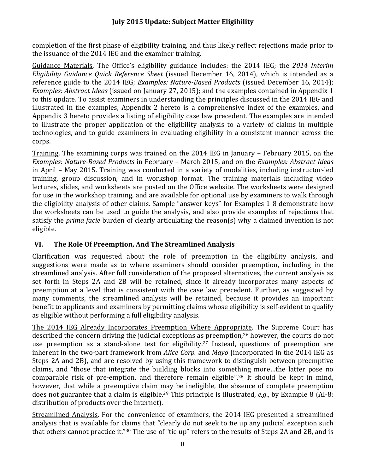completion of the first phase of eligibility training, and thus likely reflect rejections made prior to the issuance of the 2014 IEG and the examiner training.

  Guidance Materials. The Office's eligibility guidance includes: the 2014 IEG; the *2014 Interim Eligibility Guidance Quick Reference Sheet* (issued December 16, 2014), which is intended as a *Examples: Abstract Ideas* (issued on January 27, 2015); and the examples contained in Appendix 1 to illustrate the proper application of the eligibility analysis to a variety of claims in multiple reference guide to the 2014 IEG; *Examples: Nature-Based Products* (issued December 16, 2014); to this update. To assist examiners in understanding the principles discussed in the 2014 IEG and illustrated in the examples, Appendix 2 hereto is a comprehensive index of the examples, and Appendix 3 hereto provides a listing of eligibility case law precedent. The examples are intended technologies, and to guide examiners in evaluating eligibility in a consistent manner across the corps. 

Training. The examining corps was trained on the 2014 IEG in January – February 2015, on the  *Examples: Nature‐Based Products* in February – March 2015, and on the *Examples: Abstract Ideas* in April – May 2015. Training was conducted in a variety of modalities, including instructor-led for use in the workshop training, and are available for optional use by examiners to walk through the worksheets can be used to guide the analysis, and also provide examples of rejections that satisfy the *prima facie* burden of clearly articulating the reason(s) why a claimed invention is not training, group discussion, and in workshop format. The training materials including video lectures, slides, and worksheets are posted on the Office website. The worksheets were designed the eligibility analysis of other claims. Sample "answer keys" for Examples 1-8 demonstrate how eligible.

# **VI. The Role Of Preemption, And The Streamlined Analysis**

set forth in Steps 2A and 2B will be retained, since it already incorporates many aspects of preemption at a level that is consistent with the case law precedent. Further, as suggested by many comments, the streamlined analysis will be retained, because it provides an important Clarification was requested about the role of preemption in the eligibility analysis, and suggestions were made as to where examiners should consider preemption, including in the streamlined analysis. After full consideration of the proposed alternatives, the current analysis as benefit to applicants and examiners by permitting claims whose eligibility is self-evident to qualify as eligible without performing a full eligibility analysis.

comparable risk of pre-emption, and therefore remain eligible".<sup>28</sup> It should be kept in mind, does not guarantee that a claim is eligible.<sup>29</sup> This principle is illustrated, *e.g.*, by Example 8 (AI-8: The 2014 IEG Already Incorporates Preemption Where Appropriate. The Supreme Court has described the concern driving the judicial exceptions as preemption, $26$  however, the courts do not use preemption as a stand-alone test for eligibility.<sup>27</sup> Instead, questions of preemption are inherent in the two-part framework from *Alice Corp.* and *Mayo* (incorporated in the 2014 IEG as Steps 2A and 2B), and are resolved by using this framework to distinguish between preemptive claims, and "those that integrate the building blocks into something more...the latter pose no however, that while a preemptive claim may be ineligible, the absence of complete preemption distribution of products over the Internet).

that others cannot practice it."<sup>30</sup> The use of "tie up" refers to the results of Steps 2A and 2B, and is Streamlined Analysis. For the convenience of examiners, the 2014 IEG presented a streamlined analysis that is available for claims that "clearly do not seek to tie up any judicial exception such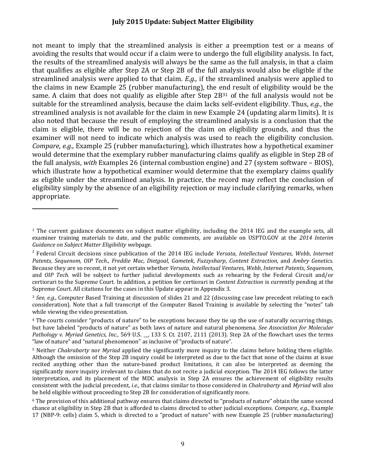avoiding the results that would occur if a claim were to undergo the full eligibility analysis. In fact, the results of the streamlined analysis will always be the same as the full analysis, in that a claim that qualifies as eligible after Step 2A or Step 2B of the full analysis would also be eligible if the the claims in new Example 25 (rubber manufacturing), the end result of eligibility would be the same. A claim that does not qualify as eligible after Step  $2B^{31}$  of the full analysis would not be also noted that because the result of employing the streamlined analysis is a conclusion that the claim is eligible, there will be no rejection of the claim on eligibility grounds, and thus the examiner will not need to indicate which analysis was used to reach the eligibility conclusion. the full analysis, with Examples 26 (internal combustion engine) and 27 (system software – BIOS), which illustrate how a hypothetical examiner would determine that the exemplary claims qualify as eligible under the streamlined analysis. In practice, the record may reflect the conclusion of not meant to imply that the streamlined analysis is either a preemption test or a means of streamlined analysis were applied to that claim. *E.g.*, if the streamlined analysis were applied to suitable for the streamlined analysis, because the claim lacks self-evident eligibility. Thus, *e.g.*, the streamlined analysis is not available for the claim in new Example 24 (updating alarm limits). It is *Compare, e.g.,* Example 25 (rubber manufacturing), which illustrates how a hypothetical examiner would determine that the exemplary rubber manufacturing claims qualify as eligible in Step 2B of eligibility simply by the absence of an eligibility rejection or may include clarifying remarks, when appropriate. 

 $1$  The current guidance documents on subject matter eligibility, including the 2014 IEG and the example sets, all examiner training materials to date, and the public comments, are available on USPTO.GOV at the 2014 Interim  *Guidance on Subject Matter Eligibility* webpage. 

 Because they are so recent, it not yet certain whether *Versata*, *Intellectual Ventures*, *Webb*, *Internet Patents*, *Sequenom*, and *OIP* Tech. will be subject to further judicial developments such as rehearing by the Federal Circuit and/or certiorari to the Supreme Court. In addition, a petition for certiorari in *Content Extraction* is currently pending at the Supreme Court. All citations for the cases in this Update appear in Appendix 3. <sup>2</sup> Federal Circuit decisions since publication of the 2014 IEG include *Versata*, *Intellectual Ventures*, *Webb*, *Internet Patents*, *Sequenom*, *OIP Tech*., *Freddie Mac*, *Dietgoal*, *Gametek*, *Fuzzysharp*, *Content Extraction*, and *Ambry Genetics*. 

<sup>&</sup>lt;sup>3</sup> See, e.g., Computer Based Training at discussion of slides 21 and 22 (discussing case law precedent relating to each consideration). Note that a full transcript of the Computer Based Training is available by selecting the "notes" tab while viewing the video presentation.

<sup>&</sup>lt;sup>4</sup> The courts consider "products of nature" to be exceptions because they tie up the use of naturally occurring things,  but have labeled "products of nature" as both laws of nature and natural phenomena. *See Association for Molecular Pathology v. Myriad Genetics, Inc.*, 569 U.S. \_, 133 S. Ct. 2107, 2111 (2013). Step 2A of the flowchart uses the terms "law of nature" and "natural phenomenon" as inclusive of "products of nature".

<sup>&</sup>lt;sup>5</sup> Neither *Chakrabarty* nor *Myriad* applied the significantly more inquiry to the claims before holding them eligible. Although the omission of the Step 2B inquiry could be interpreted as due to the fact that none of the claims at issue recited anything other than the nature‐based product limitations, it can also be interpreted as deeming the significantly more inquiry irrelevant to claims that do not recite a judicial exception. The 2014 IEG follows the latter interpretation, and its placement of the MDC analysis in Step 2A ensures the achievement of eligibility results consistent with the judicial precedent, *i.e.*, that claims similar to those considered in *Chakrabarty* and *Myriad* will also be held eligible without proceeding to Step 2B for consideration of significantly more.

 $6$  The provision of this additional pathway ensures that claims directed to "products of nature" obtain the same second chance at eligibility in Step 2B that is afforded to claims directed to other judicial exceptions. *Compare, e.g.*, Example 17 (NBP-9: cells) claim 5, which is directed to a "product of nature" with new Example 25 (rubber manufacturing)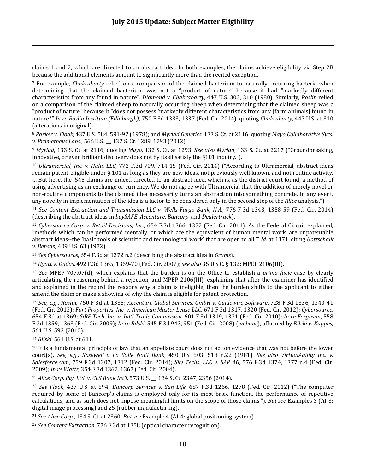claims 1 and 2, which are directed to an abstract idea. In both examples, the claims achieve eligibility via Step 2B because the additional elements amount to significantly more than the recited exception.

<u> 1989 - Andrea Santa Andrea Andrea Andrea Andrea Andrea Andrea Andrea Andrea Andrea Andrea Andrea Andrea Andr</u>

<sup>7</sup> For example, *Chakrabarty* relied on a comparison of the claimed bacterium to naturally occurring bacteria when determining that the claimed bacterium was not a "product of nature" because it had "markedly different  characteristics from any found in nature". *Diamond v. Chakrabarty*, 447 U.S. 303, 310 (1980). Similarly, *Roslin* relied on a comparison of the claimed sheep to naturally occurring sheep when determining that the claimed sheep was a "product of nature" because it "does not possess 'markedly different characteristics from any [farm animals] found in  nature.'" *In re Roslin Institute (Edinburgh)*, 750 F.3d 1333, 1337 (Fed. Cir. 2014), quoting *Chakrabarty*, 447 U.S. at 310 (alterations in original).

 <sup>8</sup> *Parker v. Flook*, 437 U.S. 584, 591‐92 (1978); and *Myriad Genetics*, 133 S. Ct. at 2116, quoting *Mayo Collaborative Svcs. v. Prometheus Labs*., 566 U.S. \_\_, 132 S. Ct. 1289, 1293 (2012). 

<sup>9</sup> *Myriad*, 133 S. Ct. at 2116, quoting *Mayo*, 132 S. Ct. at 1293. *See also Myriad*, 133 S. Ct. at 2217 ("Groundbreaking, innovative, or even brilliant discovery does not by itself satisfy the §101 inquiry.").

<sup>10</sup> *Ultramercial, Inc. v. Hulu, LLC,* 772 F.3d 709, 714-15 (Fed. Cir. 2014) ("According to Ultramercial, abstract ideas remain patent-eligible under  $\S 101$  as long as they are new ideas, not previously well known, and not routine activity. ... But here, the '545 claims are indeed directed to an abstract idea, which is, as the district court found, a method of using advertising as an exchange or currency. We do not agree with Ultramercial that the addition of merely novel or non-routine components to the claimed idea necessarily turns an abstraction into something concrete. In any event, any novelty in implementation of the idea is a factor to be considered only in the second step of the *Alice* analysis.").

<sup>11</sup> See Content Extraction and Transmission LLC v. Wells Fargo Bank, N.A., 776 F.3d 1343, 1358-59 (Fed. Cir. 2014) (describing the abstract ideas in *buySAFE*, *Accenture*, *Bancorp*, and *Dealertrack*).

<sup>12</sup> *Cybersource Corp. v. Retail Decisions, Inc.*, 654 F.3d 1366, 1372 (Fed. Cir. 2011). As the Federal Circuit explained, "methods which can be performed mentally, or which are the equivalent of human mental work, are unpatentable abstract ideas--the 'basic tools of scientific and technological work' that are open to all." *Id.* at 1371, citing *Gottschalk v. Benson,* 409 U.S. 63 (1972). 

<sup>13</sup> *See Cybersource*, 654 F.3d at 1372 n.2 (describing the abstract idea in *Grams*).

 <sup>14</sup> *Hyatt v. Dudas*, 492 F.3d 1365, 1369‐70 (Fed. Cir. 2007); *see also* 35 U.S.C. § 132; MPEP 2106(III). 

<sup>15</sup> *See* MPEP 707.07(d), which explains that the burden is on the Office to establish a *prima facie* case by clearly articulating the reasoning behind a rejection, and MPEP 2106(III), explaining that after the examiner has identified and explained in the record the reasons why a claim is ineligible, then the burden shifts to the applicant to either amend the claim or make a showing of why the claim is eligible for patent protection.

 <sup>16</sup> *See, e.g*., *Roslin*, 750 F.3d at 1335; *Accenture Global Services, GmbH v. Guidewire Software*, 728 F.3d 1336, 1340‐41  (Fed. Cir. 2013); *Fort Properties, Inc. v. American Master Lease LLC*, 671 F.3d 1317, 1320 (Fed. Cir. 2012); *Cybersource*,  654 F.3d at 1369; *SiRF Tech. Inc. v. Int'l Trade Commission*, 601 F.3d 1319, 1331 (Fed. Cir. 2010); *In re Ferguson*, 558  F.3d 1359, 1363 (Fed. Cir. 2009); *In re Bilski*, 545 F.3d 943, 951 (Fed. Cir. 2008) (*en banc*), affirmed by *Bilski v. Kappos*, 561 U.S. 593 (2010).

<sup>17</sup> *Bilski*, 561 U.S. at 611.

 $18$  It is a fundamental principle of law that an appellate court does not act on evidence that was not before the lower court(s). See, e.g., Rosewell v La Salle Nat'l Bank, 450 U.S. 503, 518 n.22 (1981). See also VirtualAgility Inc. v.  *Salesforce.com*, 759 F.3d 1307, 1312 (Fed. Cir. 2014); *Sky Techs. LLC v. SAP AG*, 576 F.3d 1374, 1377 n.4 (Fed. Cir.  2009); *In re Watts*, 354 F.3d 1362, 1367 (Fed. Cir. 2004). 

 <sup>19</sup> *Alice Corp. Pty. Ltd. v. CLS Bank Int'l*, 573 U.S. \_\_, 134 S. Ct. 2347, 2356 (2014).

 <sup>20</sup> *See Flook*, 437 U.S. at 594; *Bancorp Services v. Sun Life*, 687 F.3d 1266, 1278 (Fed. Cir. 2012) ("The computer required by some of Bancorp's claims is employed only for its most basic function, the performance of repetitive calculations, and as such does not impose meaningful limits on the scope of those claims."). But see Examples 3 (AI-3: digital image processing) and 25 (rubber manufacturing).

<sup>21</sup> *See Alice Corp.*, 134 S. Ct. at 2360. *But see* Example 4 (AI-4: global positioning system).

 <sup>22</sup> *See Content Extraction*, 776 F.3d at 1358 (optical character recognition).